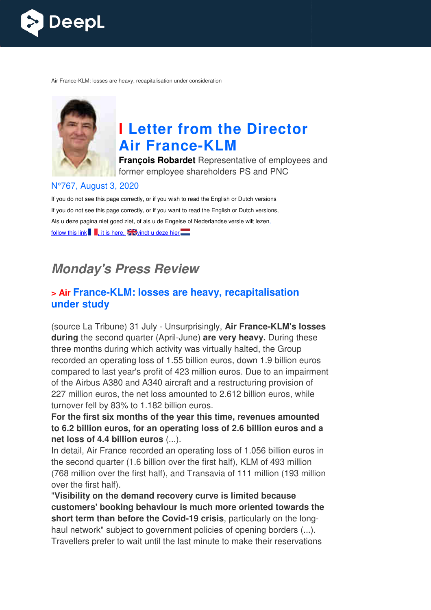

Air France-KLM: losses are heavy, recapitalisation under consideration



# **I Letter from the Director Air France France-KLM**

**François Robardet** Representative of employees and former employee shareholders PS and PNC

#### N°767, August 3, 2020

If you do not see this page correctly, or if you wish to read the English or Dutch versions If you do not see this page correctly, or if you want to read the English or Dutch versions, Als u deze pagina niet goed ziet, of als u de Engelse of Nederlandse versie wilt lezen, follow this link  $\blacksquare$ , it is here,  $\square$  windt u deze hier $\square$ 

# **Monday's Press Review**

#### **x** Air France-KLM: losses are heavy, recapitalisation **under study**

(source La Tribune) 31 July - Unsurprisingly, **Air France-KLM's losses**  during the second quarter (April-June) are very heavy. During these three months during which activity was virtually halted, the Group recorded an operating loss of 1.55 billion euros, down 1.9 billion euros compared to last year's profit of 423 million euros. Due to an impairment of the Airbus A380 and A340 aircraft and a restructuring provision of 227 million euros, the net loss amounted to 2.612 billion euros, while turnover fell by 83% to 1.182 billion euros. Insurprisingly, **Air France-KLM's**<br>
ril-June) **are very heavy.** During t<br>
vity was virtually halted, the Group<br>
.55 billion euros, down 1.9 billion<br>
f 423 million euros. Due to an imp<br>
ircraft and a restructuring provisio<br>

**For the first six months of the year this time, revenues amounted to 6.2 billion euros, for an op operating loss of 2.6 billion euros and a net loss of 4.4 billion euros** (...).

In detail, Air France recorded an operating loss of 1.056 billion euros in the second quarter (1.6 billion over the first half), KLM of 493 million (768 million over the first half), and Transavia of 111 million (193 million over the first half).

"**Visibility on the demand recovery curve is limited because customers' booking behaviour is much more oriented towards the**  (768 million over the first half), and Transavia of 111 million (193 million)<br>over the first half).<br>"**Visibility on the demand recovery curve is limited because**<br>customers' booking behaviour is much more oriented towards t haul network" subject to government policies of opening borders (...). Travellers prefer to wait until the last minute to make their reservations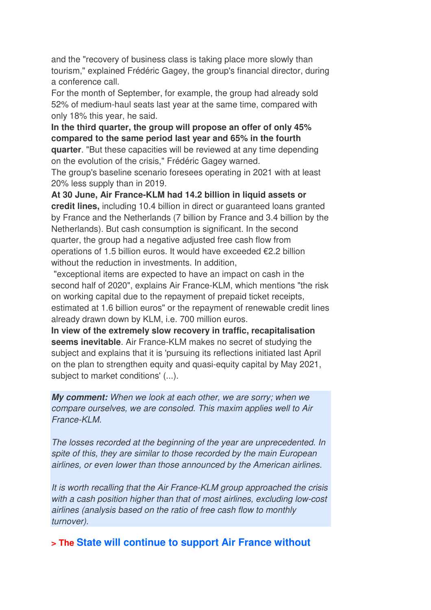and the "recovery of business class is taking place more slowly than tourism," explained Frédéric Gagey, the group's financial director, during a conference call.

For the month of September, for example, the group had already sold 52% of medium-haul seats last year at the same time, compared with only 18% this year, he said.

**In the third quarter, the group will propose an offer of only 45% compared to the same period last year and 65% in the fourth quarter**. "But these capacities will be reviewed at any time depending

on the evolution of the crisis," Frédéric Gagey warned.

The group's baseline scenario foresees operating in 2021 with at least 20% less supply than in 2019.

**At 30 June, Air France-KLM had 14.2 billion in liquid assets or credit lines,** including 10.4 billion in direct or guaranteed loans granted by France and the Netherlands (7 billion by France and 3.4 billion by the Netherlands). But cash consumption is significant. In the second quarter, the group had a negative adjusted free cash flow from operations of 1.5 billion euros. It would have exceeded €2.2 billion without the reduction in investments. In addition,

 "exceptional items are expected to have an impact on cash in the second half of 2020", explains Air France-KLM, which mentions "the risk on working capital due to the repayment of prepaid ticket receipts, estimated at 1.6 billion euros" or the repayment of renewable credit lines already drawn down by KLM, i.e. 700 million euros.

**In view of the extremely slow recovery in traffic, recapitalisation seems inevitable**. Air France-KLM makes no secret of studying the subject and explains that it is 'pursuing its reflections initiated last April on the plan to strengthen equity and quasi-equity capital by May 2021, subject to market conditions' (...).

**My comment:** When we look at each other, we are sorry; when we compare ourselves, we are consoled. This maxim applies well to Air France-KLM.

The losses recorded at the beginning of the year are unprecedented. In spite of this, they are similar to those recorded by the main European airlines, or even lower than those announced by the American airlines.

It is worth recalling that the Air France-KLM group approached the crisis with a cash position higher than that of most airlines, excluding low-cost airlines (analysis based on the ratio of free cash flow to monthly turnover).

**> The State will continue to support Air France without**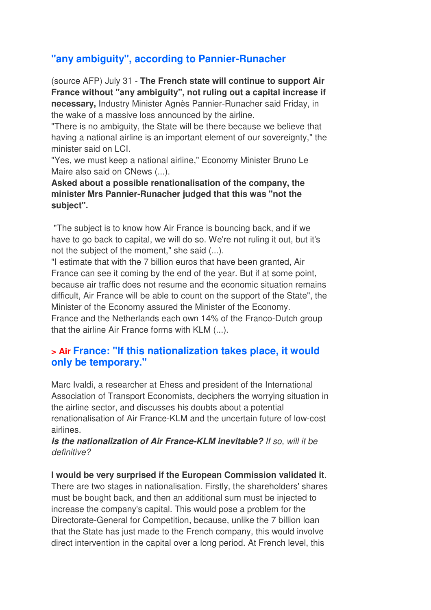## **"any ambiguity", according to Pannier-Runacher**

(source AFP) July 31 - **The French state will continue to support Air France without "any ambiguity", not ruling out a capital increase if necessary,** Industry Minister Agnès Pannier-Runacher said Friday, in the wake of a massive loss announced by the airline.

"There is no ambiguity, the State will be there because we believe that having a national airline is an important element of our sovereignty," the minister said on LCL.

"Yes, we must keep a national airline," Economy Minister Bruno Le Maire also said on CNews (...).

**Asked about a possible renationalisation of the company, the minister Mrs Pannier-Runacher judged that this was "not the subject".** 

 "The subject is to know how Air France is bouncing back, and if we have to go back to capital, we will do so. We're not ruling it out, but it's not the subject of the moment," she said (...).

"I estimate that with the 7 billion euros that have been granted, Air France can see it coming by the end of the year. But if at some point, because air traffic does not resume and the economic situation remains difficult, Air France will be able to count on the support of the State", the Minister of the Economy assured the Minister of the Economy. France and the Netherlands each own 14% of the Franco-Dutch group that the airline Air France forms with KLM (...).

#### **> Air France: "If this nationalization takes place, it would only be temporary."**

Marc Ivaldi, a researcher at Ehess and president of the International Association of Transport Economists, deciphers the worrying situation in the airline sector, and discusses his doubts about a potential renationalisation of Air France-KLM and the uncertain future of low-cost airlines.

#### **Is the nationalization of Air France-KLM inevitable?** If so, will it be definitive?

#### **I would be very surprised if the European Commission validated it**.

There are two stages in nationalisation. Firstly, the shareholders' shares must be bought back, and then an additional sum must be injected to increase the company's capital. This would pose a problem for the Directorate-General for Competition, because, unlike the 7 billion loan that the State has just made to the French company, this would involve direct intervention in the capital over a long period. At French level, this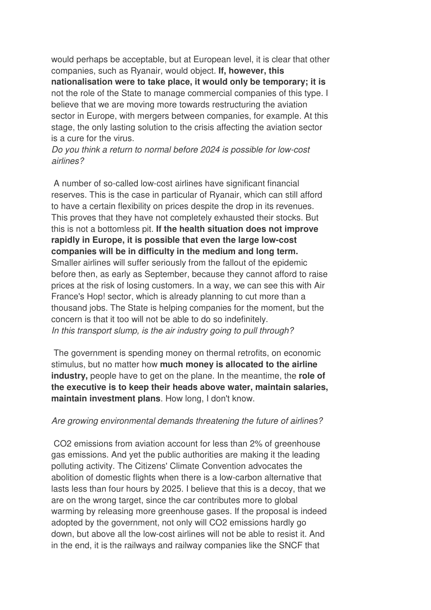would perhaps be acceptable, but at European level, it is clear that other companies, such as Ryanair, would object. **If, however, this nationalisation were to take place, it would only be temporary; it is** not the role of the State to manage commercial companies of this type. I believe that we are moving more towards restructuring the aviation sector in Europe, with mergers between companies, for example. At this stage, the only lasting solution to the crisis affecting the aviation sector is a cure for the virus.

Do you think a return to normal before 2024 is possible for low-cost airlines?

 A number of so-called low-cost airlines have significant financial reserves. This is the case in particular of Ryanair, which can still afford to have a certain flexibility on prices despite the drop in its revenues. This proves that they have not completely exhausted their stocks. But this is not a bottomless pit. **If the health situation does not improve rapidly in Europe, it is possible that even the large low-cost companies will be in difficulty in the medium and long term.**  Smaller airlines will suffer seriously from the fallout of the epidemic before then, as early as September, because they cannot afford to raise prices at the risk of losing customers. In a way, we can see this with Air France's Hop! sector, which is already planning to cut more than a thousand jobs. The State is helping companies for the moment, but the concern is that it too will not be able to do so indefinitely. In this transport slump, is the air industry going to pull through?

 The government is spending money on thermal retrofits, on economic stimulus, but no matter how **much money is allocated to the airline industry,** people have to get on the plane. In the meantime, the **role of the executive is to keep their heads above water, maintain salaries, maintain investment plans**. How long, I don't know.

#### Are growing environmental demands threatening the future of airlines?

 CO2 emissions from aviation account for less than 2% of greenhouse gas emissions. And yet the public authorities are making it the leading polluting activity. The Citizens' Climate Convention advocates the abolition of domestic flights when there is a low-carbon alternative that lasts less than four hours by 2025. I believe that this is a decoy, that we are on the wrong target, since the car contributes more to global warming by releasing more greenhouse gases. If the proposal is indeed adopted by the government, not only will CO2 emissions hardly go down, but above all the low-cost airlines will not be able to resist it. And in the end, it is the railways and railway companies like the SNCF that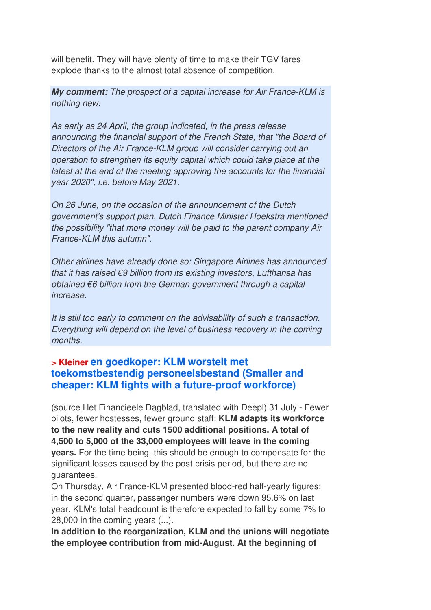will benefit. They will have plenty of time to make their TGV fares explode thanks to the almost total absence of competition.

**My comment:** The prospect of a capital increase for Air France-KLM is nothing new.

As early as 24 April, the group indicated, in the press release announcing the financial support of the French State, that "the Board of Directors of the Air France-KLM group will consider carrying out an operation to strengthen its equity capital which could take place at the latest at the end of the meeting approving the accounts for the financial year 2020", i.e. before May 2021.

On 26 June, on the occasion of the announcement of the Dutch government's support plan, Dutch Finance Minister Hoekstra mentioned the possibility "that more money will be paid to the parent company Air France-KLM this autumn".

Other airlines have already done so: Singapore Airlines has announced that it has raised €9 billion from its existing investors, Lufthansa has obtained €6 billion from the German government through a capital increase.

It is still too early to comment on the advisability of such a transaction. Everything will depend on the level of business recovery in the coming months.

#### **> Kleiner en goedkoper: KLM worstelt met toekomstbestendig personeelsbestand (Smaller and cheaper: KLM fights with a future-proof workforce)**

(source Het Financieele Dagblad, translated with Deepl) 31 July - Fewer pilots, fewer hostesses, fewer ground staff: **KLM adapts its workforce to the new reality and cuts 1500 additional positions. A total of 4,500 to 5,000 of the 33,000 employees will leave in the coming years.** For the time being, this should be enough to compensate for the significant losses caused by the post-crisis period, but there are no guarantees.

On Thursday, Air France-KLM presented blood-red half-yearly figures: in the second quarter, passenger numbers were down 95.6% on last year. KLM's total headcount is therefore expected to fall by some 7% to 28,000 in the coming years (...).

**In addition to the reorganization, KLM and the unions will negotiate the employee contribution from mid-August. At the beginning of**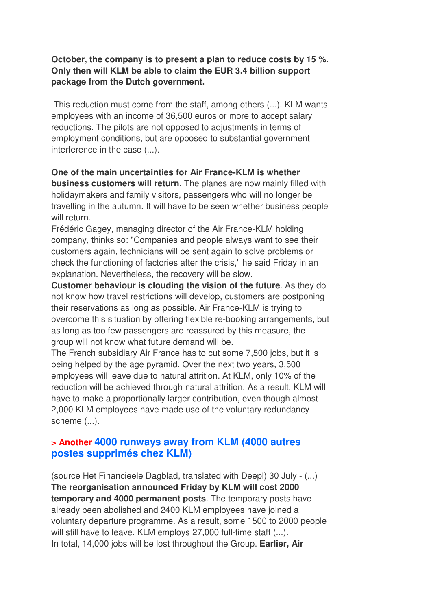#### **October, the company is to present a plan to reduce costs by 15 %. Only then will KLM be able to claim the EUR 3.4 billion support package from the Dutch government.**

 This reduction must come from the staff, among others (...). KLM wants employees with an income of 36,500 euros or more to accept salary reductions. The pilots are not opposed to adjustments in terms of employment conditions, but are opposed to substantial government interference in the case (...).

**One of the main uncertainties for Air France-KLM is whether business customers will return**. The planes are now mainly filled with holidaymakers and family visitors, passengers who will no longer be travelling in the autumn. It will have to be seen whether business people will return.

Frédéric Gagey, managing director of the Air France-KLM holding company, thinks so: "Companies and people always want to see their customers again, technicians will be sent again to solve problems or check the functioning of factories after the crisis," he said Friday in an explanation. Nevertheless, the recovery will be slow.

**Customer behaviour is clouding the vision of the future**. As they do not know how travel restrictions will develop, customers are postponing their reservations as long as possible. Air France-KLM is trying to overcome this situation by offering flexible re-booking arrangements, but as long as too few passengers are reassured by this measure, the group will not know what future demand will be.

The French subsidiary Air France has to cut some 7,500 jobs, but it is being helped by the age pyramid. Over the next two years, 3,500 employees will leave due to natural attrition. At KLM, only 10% of the reduction will be achieved through natural attrition. As a result, KLM will have to make a proportionally larger contribution, even though almost 2,000 KLM employees have made use of the voluntary redundancy scheme (...).

#### **> Another 4000 runways away from KLM (4000 autres postes supprimés chez KLM)**

(source Het Financieele Dagblad, translated with Deepl) 30 July - (...) **The reorganisation announced Friday by KLM will cost 2000 temporary and 4000 permanent posts**. The temporary posts have already been abolished and 2400 KLM employees have joined a voluntary departure programme. As a result, some 1500 to 2000 people will still have to leave. KLM employs 27,000 full-time staff (...). In total, 14,000 jobs will be lost throughout the Group. **Earlier, Air**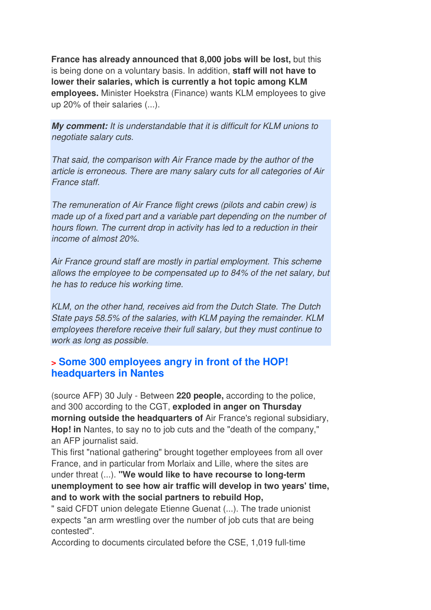**France has already announced that 8,000 jobs will be lost,** but this is being done on a voluntary basis. In addition, **staff will not have to lower their salaries, which is currently a hot topic among KLM employees.** Minister Hoekstra (Finance) wants KLM employees to give up 20% of their salaries (...).

**My comment:** It is understandable that it is difficult for KLM unions to negotiate salary cuts.

That said, the comparison with Air France made by the author of the article is erroneous. There are many salary cuts for all categories of Air France staff.

The remuneration of Air France flight crews (pilots and cabin crew) is made up of a fixed part and a variable part depending on the number of hours flown. The current drop in activity has led to a reduction in their income of almost 20%.

Air France ground staff are mostly in partial employment. This scheme allows the employee to be compensated up to 84% of the net salary, but he has to reduce his working time.

KLM, on the other hand, receives aid from the Dutch State. The Dutch State pays 58.5% of the salaries, with KLM paying the remainder. KLM employees therefore receive their full salary, but they must continue to work as long as possible.

#### **> Some 300 employees angry in front of the HOP! headquarters in Nantes**

(source AFP) 30 July - Between **220 people,** according to the police, and 300 according to the CGT, **exploded in anger on Thursday morning outside the headquarters of** Air France's regional subsidiary, **Hop! in** Nantes, to say no to job cuts and the "death of the company," an AFP journalist said.

This first "national gathering" brought together employees from all over France, and in particular from Morlaix and Lille, where the sites are under threat (...). **"We would like to have recourse to long-term unemployment to see how air traffic will develop in two years' time, and to work with the social partners to rebuild Hop,**

" said CFDT union delegate Etienne Guenat (...). The trade unionist expects "an arm wrestling over the number of job cuts that are being contested".

According to documents circulated before the CSE, 1,019 full-time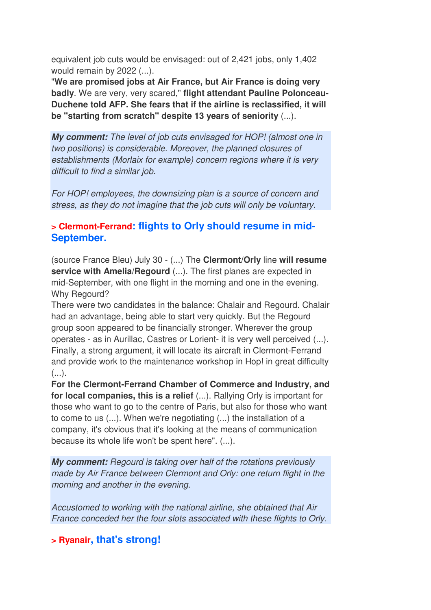equivalent job cuts would be envisaged: out of 2,421 jobs, only 1,402 would remain by 2022 (...).

"**We are promised jobs at Air France, but Air France is doing very badly**. We are very, very scared," **flight attendant Pauline Polonceau-Duchene told AFP. She fears that if the airline is reclassified, it will be "starting from scratch" despite 13 years of seniority** (...).

**My comment:** The level of job cuts envisaged for HOP! (almost one in two positions) is considerable. Moreover, the planned closures of establishments (Morlaix for example) concern regions where it is very difficult to find a similar job.

For HOP! employees, the downsizing plan is a source of concern and stress, as they do not imagine that the job cuts will only be voluntary.

#### **> Clermont-Ferrand: flights to Orly should resume in mid-September.**

(source France Bleu) July 30 - (...) The **Clermont/Orly** line **will resume service with Amelia/Regourd** (...). The first planes are expected in mid-September, with one flight in the morning and one in the evening. Why Regourd?

There were two candidates in the balance: Chalair and Regourd. Chalair had an advantage, being able to start very quickly. But the Regourd group soon appeared to be financially stronger. Wherever the group operates - as in Aurillac, Castres or Lorient- it is very well perceived (...). Finally, a strong argument, it will locate its aircraft in Clermont-Ferrand and provide work to the maintenance workshop in Hop! in great difficulty  $(\ldots).$ 

**For the Clermont-Ferrand Chamber of Commerce and Industry, and for local companies, this is a relief** (...). Rallying Orly is important for those who want to go to the centre of Paris, but also for those who want to come to us (...). When we're negotiating (...) the installation of a company, it's obvious that it's looking at the means of communication because its whole life won't be spent here". (...).

**My comment:** Regourd is taking over half of the rotations previously made by Air France between Clermont and Orly: one return flight in the morning and another in the evening.

Accustomed to working with the national airline, she obtained that Air France conceded her the four slots associated with these flights to Orly.

## **> Ryanair, that's strong!**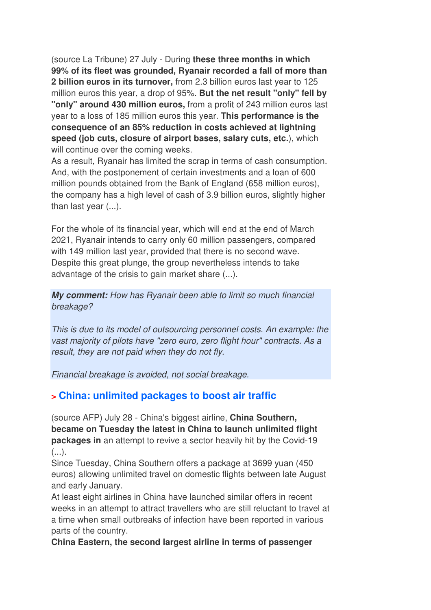(source La Tribune) 27 July - During **these three months in which 99% of its fleet was grounded, Ryanair recorded a fall of more than 2 billion euros in its turnover,** from 2.3 billion euros last year to 125 million euros this year, a drop of 95%. **But the net result "only" fell by "only" around 430 million euros,** from a profit of 243 million euros last year to a loss of 185 million euros this year. **This performance is the consequence of an 85% reduction in costs achieved at lightning speed (job cuts, closure of airport bases, salary cuts, etc.**), which will continue over the coming weeks.

As a result, Ryanair has limited the scrap in terms of cash consumption. And, with the postponement of certain investments and a loan of 600 million pounds obtained from the Bank of England (658 million euros), the company has a high level of cash of 3.9 billion euros, slightly higher than last year (...).

For the whole of its financial year, which will end at the end of March 2021, Ryanair intends to carry only 60 million passengers, compared with 149 million last year, provided that there is no second wave. Despite this great plunge, the group nevertheless intends to take advantage of the crisis to gain market share (...).

**My comment:** How has Ryanair been able to limit so much financial breakage?

This is due to its model of outsourcing personnel costs. An example: the vast majority of pilots have "zero euro, zero flight hour" contracts. As a result, they are not paid when they do not fly.

Financial breakage is avoided, not social breakage.

## **> China: unlimited packages to boost air traffic**

(source AFP) July 28 - China's biggest airline, **China Southern, became on Tuesday the latest in China to launch unlimited flight packages in** an attempt to revive a sector heavily hit by the Covid-19  $(\ldots).$ 

Since Tuesday, China Southern offers a package at 3699 yuan (450 euros) allowing unlimited travel on domestic flights between late August and early January.

At least eight airlines in China have launched similar offers in recent weeks in an attempt to attract travellers who are still reluctant to travel at a time when small outbreaks of infection have been reported in various parts of the country.

**China Eastern, the second largest airline in terms of passenger**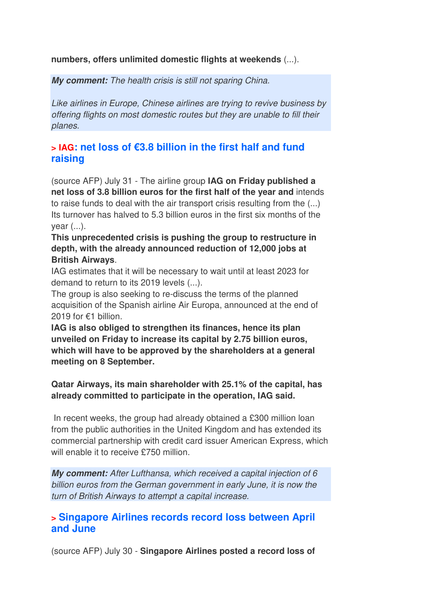#### **numbers, offers unlimited domestic flights at weekends** (...).

**My comment:** The health crisis is still not sparing China.

Like airlines in Europe, Chinese airlines are trying to revive business by offering flights on most domestic routes but they are unable to fill their planes.

#### **> IAG: net loss of €3.8 billion in the first half and fund raising**

(source AFP) July 31 - The airline group **IAG on Friday published a net loss of 3.8 billion euros for the first half of the year and** intends to raise funds to deal with the air transport crisis resulting from the (...) Its turnover has halved to 5.3 billion euros in the first six months of the year (...).

#### **This unprecedented crisis is pushing the group to restructure in depth, with the already announced reduction of 12,000 jobs at British Airways**.

IAG estimates that it will be necessary to wait until at least 2023 for demand to return to its 2019 levels (...).

The group is also seeking to re-discuss the terms of the planned acquisition of the Spanish airline Air Europa, announced at the end of 2019 for €1 billion.

**IAG is also obliged to strengthen its finances, hence its plan unveiled on Friday to increase its capital by 2.75 billion euros, which will have to be approved by the shareholders at a general meeting on 8 September.** 

#### **Qatar Airways, its main shareholder with 25.1% of the capital, has already committed to participate in the operation, IAG said.**

 In recent weeks, the group had already obtained a £300 million loan from the public authorities in the United Kingdom and has extended its commercial partnership with credit card issuer American Express, which will enable it to receive £750 million.

**My comment:** After Lufthansa, which received a capital injection of 6 billion euros from the German government in early June, it is now the turn of British Airways to attempt a capital increase.

#### **> Singapore Airlines records record loss between April and June**

(source AFP) July 30 - **Singapore Airlines posted a record loss of**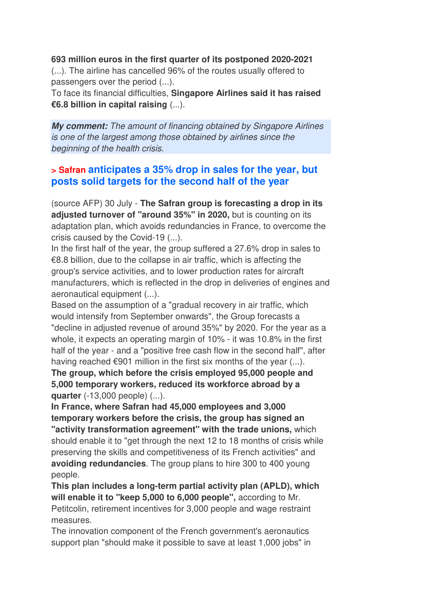**693 million euros in the first quarter of its postponed 2020-2021**

(...). The airline has cancelled 96% of the routes usually offered to passengers over the period (...).

To face its financial difficulties, **Singapore Airlines said it has raised €6.8 billion in capital raising** (...).

**My comment:** The amount of financing obtained by Singapore Airlines is one of the largest among those obtained by airlines since the beginning of the health crisis.

#### **> Safran anticipates a 35% drop in sales for the year, but posts solid targets for the second half of the year**

(source AFP) 30 July - **The Safran group is forecasting a drop in its adjusted turnover of "around 35%" in 2020,** but is counting on its adaptation plan, which avoids redundancies in France, to overcome the crisis caused by the Covid-19 (...).

In the first half of the year, the group suffered a 27.6% drop in sales to €8.8 billion, due to the collapse in air traffic, which is affecting the group's service activities, and to lower production rates for aircraft manufacturers, which is reflected in the drop in deliveries of engines and aeronautical equipment (...).

Based on the assumption of a "gradual recovery in air traffic, which would intensify from September onwards", the Group forecasts a "decline in adjusted revenue of around 35%" by 2020. For the year as a whole, it expects an operating margin of 10% - it was 10.8% in the first half of the year - and a "positive free cash flow in the second half", after having reached  $\epsilon$ 901 million in the first six months of the year  $(...)$ .

**The group, which before the crisis employed 95,000 people and 5,000 temporary workers, reduced its workforce abroad by a quarter** (-13,000 people) (...).

**In France, where Safran had 45,000 employees and 3,000 temporary workers before the crisis, the group has signed an "activity transformation agreement" with the trade unions,** which should enable it to "get through the next 12 to 18 months of crisis while preserving the skills and competitiveness of its French activities" and **avoiding redundancies**. The group plans to hire 300 to 400 young people.

**This plan includes a long-term partial activity plan (APLD), which will enable it to "keep 5,000 to 6,000 people",** according to Mr. Petitcolin, retirement incentives for 3,000 people and wage restraint measures.

The innovation component of the French government's aeronautics support plan "should make it possible to save at least 1,000 jobs" in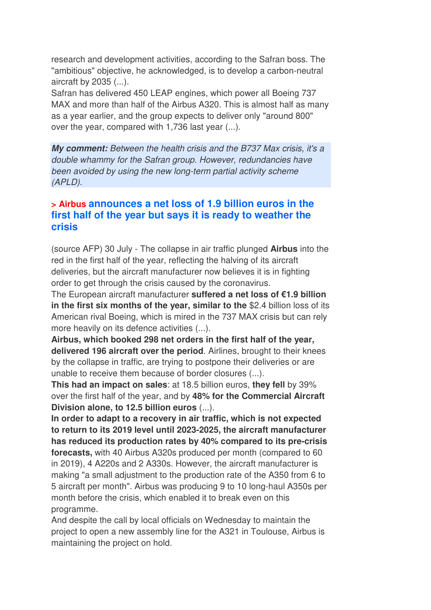research and development activities, according to the Safran boss. The "ambitious" objective, he acknowledged, is to develop a carbon-neutral aircraft by 2035 (...).

Safran has delivered 450 LEAP engines, which power all Boeing 737 MAX and more than half of the Airbus A320. This is almost half as many as a year earlier, and the group expects to deliver only "around 800" over the year, compared with 1,736 last year (...).

**My comment:** Between the health crisis and the B737 Max crisis, it's a double whammy for the Safran group. However, redundancies have been avoided by using the new long-term partial activity scheme (APLD).

#### **> Airbus announces a net loss of 1.9 billion euros in the first half of the year but says it is ready to weather the crisis**

(source AFP) 30 July - The collapse in air traffic plunged **Airbus** into the red in the first half of the year, reflecting the halving of its aircraft deliveries, but the aircraft manufacturer now believes it is in fighting order to get through the crisis caused by the coronavirus.

The European aircraft manufacturer **suffered a net loss of €1.9 billion in the first six months of the year, similar to the** \$2.4 billion loss of its American rival Boeing, which is mired in the 737 MAX crisis but can rely more heavily on its defence activities (...).

**Airbus, which booked 298 net orders in the first half of the year, delivered 196 aircraft over the period**. Airlines, brought to their knees by the collapse in traffic, are trying to postpone their deliveries or are unable to receive them because of border closures (...).

**This had an impact on sales**: at 18.5 billion euros, **they fell** by 39% over the first half of the year, and by **48% for the Commercial Aircraft Division alone, to 12.5 billion euros** (...).

**In order to adapt to a recovery in air traffic, which is not expected to return to its 2019 level until 2023-2025, the aircraft manufacturer has reduced its production rates by 40% compared to its pre-crisis forecasts,** with 40 Airbus A320s produced per month (compared to 60 in 2019), 4 A220s and 2 A330s. However, the aircraft manufacturer is making "a small adjustment to the production rate of the A350 from 6 to 5 aircraft per month". Airbus was producing 9 to 10 long-haul A350s per month before the crisis, which enabled it to break even on this programme.

And despite the call by local officials on Wednesday to maintain the project to open a new assembly line for the A321 in Toulouse, Airbus is maintaining the project on hold.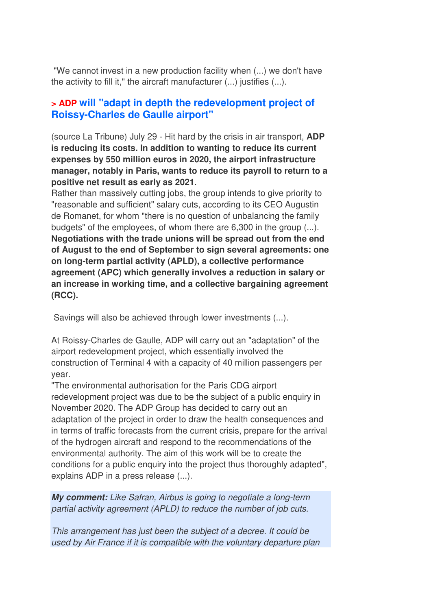"We cannot invest in a new production facility when (...) we don't have the activity to fill it," the aircraft manufacturer (...) justifies (...).

#### **> ADP will "adapt in depth the redevelopment project of Roissy-Charles de Gaulle airport"**

(source La Tribune) July 29 - Hit hard by the crisis in air transport, **ADP is reducing its costs. In addition to wanting to reduce its current expenses by 550 million euros in 2020, the airport infrastructure manager, notably in Paris, wants to reduce its payroll to return to a positive net result as early as 2021**.

Rather than massively cutting jobs, the group intends to give priority to "reasonable and sufficient" salary cuts, according to its CEO Augustin de Romanet, for whom "there is no question of unbalancing the family budgets" of the employees, of whom there are 6,300 in the group (...). **Negotiations with the trade unions will be spread out from the end of August to the end of September to sign several agreements: one on long-term partial activity (APLD), a collective performance agreement (APC) which generally involves a reduction in salary or an increase in working time, and a collective bargaining agreement (RCC).** 

Savings will also be achieved through lower investments (...).

At Roissy-Charles de Gaulle, ADP will carry out an "adaptation" of the airport redevelopment project, which essentially involved the construction of Terminal 4 with a capacity of 40 million passengers per year.

"The environmental authorisation for the Paris CDG airport redevelopment project was due to be the subject of a public enquiry in November 2020. The ADP Group has decided to carry out an adaptation of the project in order to draw the health consequences and in terms of traffic forecasts from the current crisis, prepare for the arrival of the hydrogen aircraft and respond to the recommendations of the environmental authority. The aim of this work will be to create the conditions for a public enquiry into the project thus thoroughly adapted", explains ADP in a press release (...).

**My comment:** Like Safran, Airbus is going to negotiate a long-term partial activity agreement (APLD) to reduce the number of job cuts.

This arrangement has just been the subject of a decree. It could be used by Air France if it is compatible with the voluntary departure plan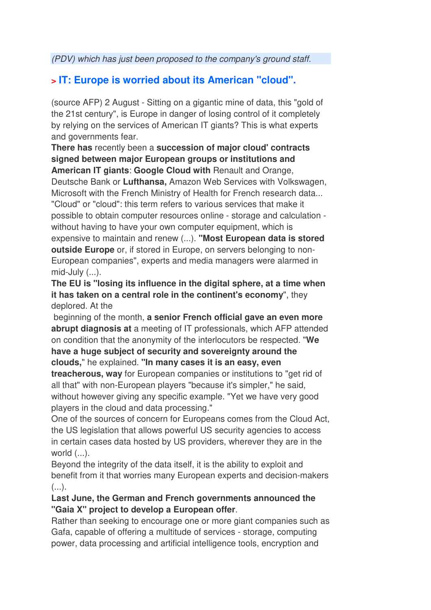(PDV) which has just been proposed to the company's ground staff.

# **> IT: Europe is worried about its American "cloud".**

(source AFP) 2 August - Sitting on a gigantic mine of data, this "gold of the 21st century", is Europe in danger of losing control of it completely by relying on the services of American IT giants? This is what experts and governments fear.

**There has** recently been a **succession of major cloud' contracts signed between major European groups or institutions and** 

**American IT giants**: **Google Cloud with** Renault and Orange, Deutsche Bank or **Lufthansa,** Amazon Web Services with Volkswagen, Microsoft with the French Ministry of Health for French research data...

"Cloud" or "cloud": this term refers to various services that make it possible to obtain computer resources online - storage and calculation without having to have your own computer equipment, which is expensive to maintain and renew (...). **"Most European data is stored outside Europe** or, if stored in Europe, on servers belonging to non-European companies", experts and media managers were alarmed in  $mid$ -July  $(...)$ .

**The EU is "losing its influence in the digital sphere, at a time when it has taken on a central role in the continent's economy**", they deplored. At the

 beginning of the month, **a senior French official gave an even more abrupt diagnosis at** a meeting of IT professionals, which AFP attended on condition that the anonymity of the interlocutors be respected. "**We have a huge subject of security and sovereignty around the clouds,**" he explained. **"In many cases it is an easy, even** 

**treacherous, way** for European companies or institutions to "get rid of all that" with non-European players "because it's simpler," he said, without however giving any specific example. "Yet we have very good players in the cloud and data processing."

One of the sources of concern for Europeans comes from the Cloud Act, the US legislation that allows powerful US security agencies to access in certain cases data hosted by US providers, wherever they are in the world (...).

Beyond the integrity of the data itself, it is the ability to exploit and benefit from it that worries many European experts and decision-makers  $(\ldots).$ 

#### **Last June, the German and French governments announced the "Gaia X" project to develop a European offer**.

Rather than seeking to encourage one or more giant companies such as Gafa, capable of offering a multitude of services - storage, computing power, data processing and artificial intelligence tools, encryption and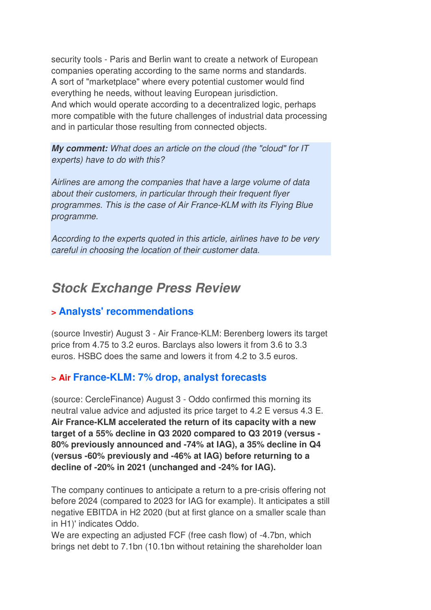security tools - Paris and Berlin want to create a network of European companies operating according to the same norms and standards. A sort of "marketplace" where every potential customer would find everything he needs, without leaving European jurisdiction. And which would operate according to a decentralized logic, perhaps more compatible with the future challenges of industrial data processing and in particular those resulting from connected objects.

**My comment:** What does an article on the cloud (the "cloud" for IT experts) have to do with this?

Airlines are among the companies that have a large volume of data about their customers, in particular through their frequent flyer programmes. This is the case of Air France-KLM with its Flying Blue programme.

According to the experts quoted in this article, airlines have to be very careful in choosing the location of their customer data.

# **Stock Exchange Press Review**

## **> Analysts' recommendations**

(source Investir) August 3 - Air France-KLM: Berenberg lowers its target price from 4.75 to 3.2 euros. Barclays also lowers it from 3.6 to 3.3 euros. HSBC does the same and lowers it from 4.2 to 3.5 euros.

## **> Air France-KLM: 7% drop, analyst forecasts**

(source: CercleFinance) August 3 - Oddo confirmed this morning its neutral value advice and adjusted its price target to 4.2 E versus 4.3 E. **Air France-KLM accelerated the return of its capacity with a new target of a 55% decline in Q3 2020 compared to Q3 2019 (versus - 80% previously announced and -74% at IAG), a 35% decline in Q4 (versus -60% previously and -46% at IAG) before returning to a decline of -20% in 2021 (unchanged and -24% for IAG).** 

The company continues to anticipate a return to a pre-crisis offering not before 2024 (compared to 2023 for IAG for example). It anticipates a still negative EBITDA in H2 2020 (but at first glance on a smaller scale than in H1)' indicates Oddo.

We are expecting an adjusted FCF (free cash flow) of -4.7bn, which brings net debt to 7.1bn (10.1bn without retaining the shareholder loan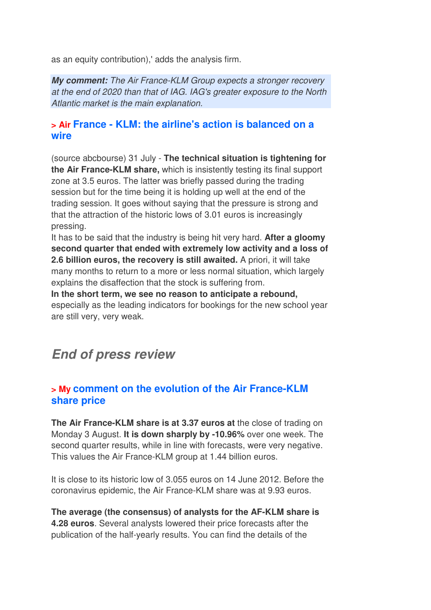as an equity contribution),' adds the analysis firm.

**My comment:** The Air France-KLM Group expects a stronger recovery at the end of 2020 than that of IAG. IAG's greater exposure to the North Atlantic market is the main explanation.

#### **> Air France - KLM: the airline's action is balanced on a wire**

(source abcbourse) 31 July - **The technical situation is tightening for the Air France-KLM share,** which is insistently testing its final support zone at 3.5 euros. The latter was briefly passed during the trading session but for the time being it is holding up well at the end of the trading session. It goes without saying that the pressure is strong and that the attraction of the historic lows of 3.01 euros is increasingly pressing.

It has to be said that the industry is being hit very hard. **After a gloomy second quarter that ended with extremely low activity and a loss of 2.6 billion euros, the recovery is still awaited.** A priori, it will take many months to return to a more or less normal situation, which largely explains the disaffection that the stock is suffering from.

**In the short term, we see no reason to anticipate a rebound,** especially as the leading indicators for bookings for the new school year are still very, very weak.

# **End of press review**

#### **> My comment on the evolution of the Air France-KLM share price**

**The Air France-KLM share is at 3.37 euros at** the close of trading on Monday 3 August. **It is down sharply by -10.96%** over one week. The second quarter results, while in line with forecasts, were very negative. This values the Air France-KLM group at 1.44 billion euros.

It is close to its historic low of 3.055 euros on 14 June 2012. Before the coronavirus epidemic, the Air France-KLM share was at 9.93 euros.

**The average (the consensus) of analysts for the AF-KLM share is 4.28 euros**. Several analysts lowered their price forecasts after the publication of the half-yearly results. You can find the details of the